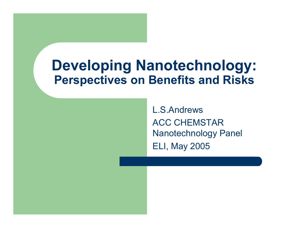### **Developing Nanotechnology: Perspectives on Benefits and Risks**

L.S.AndrewsACC CHEMSTAR Nanotechnology Panel ELI, May 2005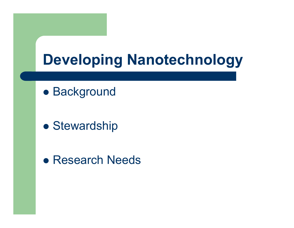# **Developing Nanotechnology**

**• Background** 

• Stewardship

• Research Needs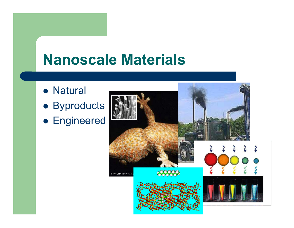## **Nanoscale Materials**

- Natural
- **Byproducts**
- **Engineered**

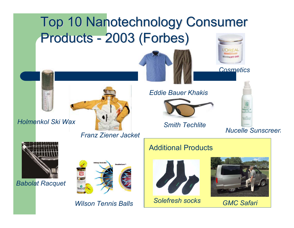#### Top 10 Nanotechnology Consumer Top 10 Nanotechnology Consumer **Products** -- 2003 (Forbes)





*Cosmetics*



*Holmenkol Ski Wax*

### *Franz Ziener Jacket*



*Babolat Racquet*



*Wilson Tennis Balls*

*Eddie Bauer Khakis* 



*Smith Techlite*

*Nucelle Sunscree n*

#### Additional Products



*Solefresh socks GMC Safari* 

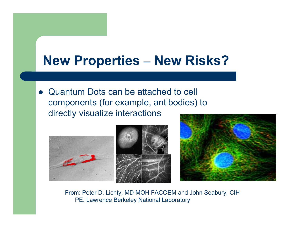#### **New Properties – New Risks?**

• Quantum Dots can be attached to cell components (for example, antibodies) to directly visualize interactions



From: Peter D. Lichty, MD MOH FACOEM and John Seabury, CIH PE. Lawrence Berkeley National Laboratory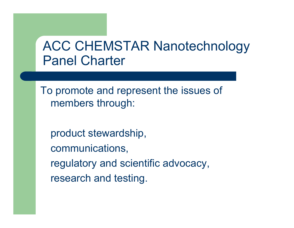### ACC CHEMSTAR Nanotechnology Panel Charter

To promote and represent the issues of members through:

product stewardship, communications, regulatory and scientific advocacy, research and testing.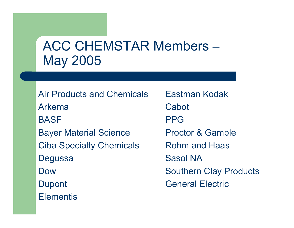### ACC CHEMSTAR Members the contract of the contract of the May 2005

Air Products and ChemicalsArkemaBASFBayer Material Science Ciba Specialty Chemicals **Degussa** DowDupont **Elementis** 

Eastman KodakCabotPPGProctor & GambleRohm and HaasSasol NASouthern Clay Products General Electric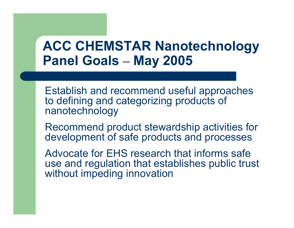### **ACC CHEMSTAR Nanotechnology Panel Goals –May 2005**

Establish and recommend useful approaches to defining and categorizing products of nanotechnology

Recommend product stewardship activities for development of safe products and processes

Advocate for EHS research that informs safe use and regulation that establishes public trust without impeding innovation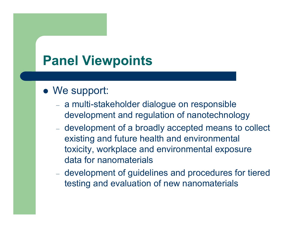### **Panel Viewpoints**

### • We support:

- – a multi-stakeholder dialogue on responsible development and regulation of nanotechnology
- development of a broadly accepted means to collect existing and future health and environmental toxicity, workplace and environmental exposure data for nanomaterials
- – development of guidelines and procedures for tiered testing and evaluation of new nanomaterials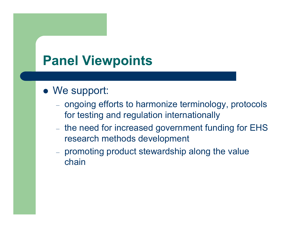### **Panel Viewpoints**

### • We support:

- –- ongoing efforts to harmonize terminology, protocols for testing and regulation internationally
- $-$  the need for increased government funding for EHS research methods development
- – promoting product stewardship along the value chain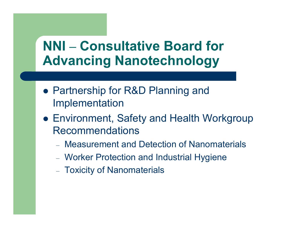## **NNI – Consultative Board for Advancing Nanotechnology**

- Partnership for R&D Planning and Implementation
- Environment, Safety and Health Workgroup Recommendations
	- Measurement and Detection of Nanomaterials
	- –Worker Protection and Industrial Hygiene
	- –– Toxicity of Nanomaterials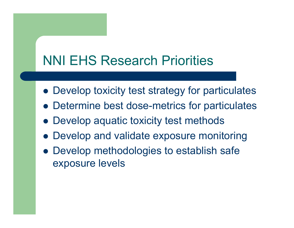## NNI EHS Research Priorities

- Develop toxicity test strategy for particulates
- Determine best dose-metrics for particulates
- Develop aquatic toxicity test methods
- Develop and validate exposure monitoring
- Develop methodologies to establish safe exposure levels